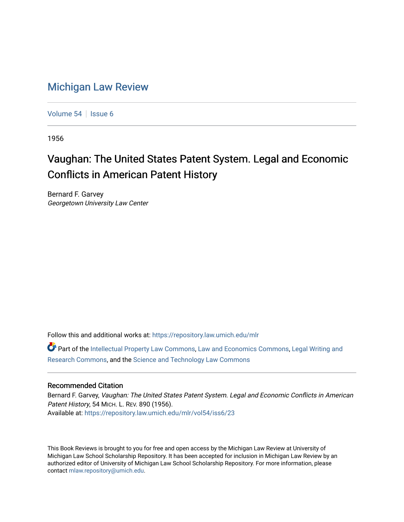## [Michigan Law Review](https://repository.law.umich.edu/mlr)

[Volume 54](https://repository.law.umich.edu/mlr/vol54) | [Issue 6](https://repository.law.umich.edu/mlr/vol54/iss6)

1956

## Vaughan: The United States Patent System. Legal and Economic Conflicts in American Patent History

Bernard F. Garvey Georgetown University Law Center

Follow this and additional works at: [https://repository.law.umich.edu/mlr](https://repository.law.umich.edu/mlr?utm_source=repository.law.umich.edu%2Fmlr%2Fvol54%2Fiss6%2F23&utm_medium=PDF&utm_campaign=PDFCoverPages) 

Part of the [Intellectual Property Law Commons,](http://network.bepress.com/hgg/discipline/896?utm_source=repository.law.umich.edu%2Fmlr%2Fvol54%2Fiss6%2F23&utm_medium=PDF&utm_campaign=PDFCoverPages) [Law and Economics Commons](http://network.bepress.com/hgg/discipline/612?utm_source=repository.law.umich.edu%2Fmlr%2Fvol54%2Fiss6%2F23&utm_medium=PDF&utm_campaign=PDFCoverPages), [Legal Writing and](http://network.bepress.com/hgg/discipline/614?utm_source=repository.law.umich.edu%2Fmlr%2Fvol54%2Fiss6%2F23&utm_medium=PDF&utm_campaign=PDFCoverPages)  [Research Commons,](http://network.bepress.com/hgg/discipline/614?utm_source=repository.law.umich.edu%2Fmlr%2Fvol54%2Fiss6%2F23&utm_medium=PDF&utm_campaign=PDFCoverPages) and the [Science and Technology Law Commons](http://network.bepress.com/hgg/discipline/875?utm_source=repository.law.umich.edu%2Fmlr%2Fvol54%2Fiss6%2F23&utm_medium=PDF&utm_campaign=PDFCoverPages)

## Recommended Citation

Bernard F. Garvey, Vaughan: The United States Patent System. Legal and Economic Conflicts in American Patent History, 54 MICH. L. REV. 890 (1956). Available at: [https://repository.law.umich.edu/mlr/vol54/iss6/23](https://repository.law.umich.edu/mlr/vol54/iss6/23?utm_source=repository.law.umich.edu%2Fmlr%2Fvol54%2Fiss6%2F23&utm_medium=PDF&utm_campaign=PDFCoverPages) 

This Book Reviews is brought to you for free and open access by the Michigan Law Review at University of Michigan Law School Scholarship Repository. It has been accepted for inclusion in Michigan Law Review by an authorized editor of University of Michigan Law School Scholarship Repository. For more information, please contact [mlaw.repository@umich.edu](mailto:mlaw.repository@umich.edu).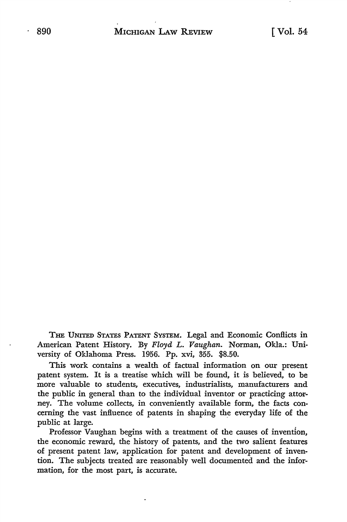THE UNITED STATES PATENT SYSTEM. Legal and Economic Conflicts in American Patent History. By *Floyd L.* Vaughan. Norman, Okla.: University of Oklahoma Press. 1956. Pp. xvi, 355. \$8.50.

This work contains a wealth of factual information on our present patent system. It is a treatise which will be found, it is believed, to be more valuable to students, executives, industrialists, manufacturers and the public in general than to the individual inventor or practicing attorney. The volume collects, in conveniently available form, the facts concerning the vast influence of patents in shaping the everyday life of the public at large.

Professor Vaughan begins with a treatment of the causes of invention, the economic reward, the history of patents, and the two salient features of present patent law, application for patent and development of invention. The subjects treated are reasonably well documented and the information, for the most part, is accurate.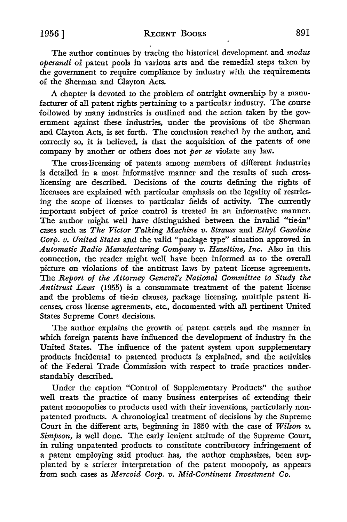The author continues by tracing the historical development and *modus operandi* of patent pools in various arts and the remedial steps taken by the government to require compliance by industry with the requirements of the Sherman and Clayton Acts.

A chapter is devoted to the problem of outright ownership by a manufacturer of all patent rights pertaining to a particular industry. The course followed by many industries is outlined and the action taken by the government against these industries, under the provisions of the Sherman and Clayton *Acts,* is set forth. The conclusion reached by the author, and correctly so, it is believed, is that the acquisition of the patents of one company by another or others does not *per se* violate any law.

The cross-licensing of patents among members of different industries is detailed in a most informative manner and the results of such crosslicensing are described. Decisions of the courts defining the rights of licensees are explained with particular emphasis on the legality of restricting the scope of licenses to particular fields of activity. The currently important subject of price control is treated in an informative manner. The author might well have distinguished between the invalid "tie-in" cases such as *The Victor Talking Machine v. Strauss* and *Ethyl Gasoline Corp. v. United States* and the valid "package type" situation approved **in**  *Automatic Radio Manufacturing Company v. Hazeltine, Inc.* Also in this connection, the reader might well have been informed as to the overall picture on violations of the antitrust laws by patent license agreements. The *Report of the Attorney General's National Committee to Study the Antitrust Laws* (1955) is a consummate treatment of the patent license and the problems of tie-in clauses, package licensing, multiple patent **li**censes, cross license agreements, etc., documented with all pertinent United States Supreme Court decisions.

The author explains the growth of patent cartels and the manner **in**  which foreign patents have influenced the development of industry in the United States. The influence of the patent system upon supplementary products incidental to patented products is explained, and the activities of the Federal Trade Commission with respect to trade practices understandably described.

Under the caption "Control of Supplementary Products" the author well treats the practice of many business enterprises of extending their patent monopolies to products used with their inventions, particularly nonpatented products. A chronological treatment of decisions by the Supreme Court in the different arts, beginning in 1850 with the case of *Wilson v. Simpson,* is well done. The early lenient attitude of the Supreme *Court,*  in ruling unpatented products to constitute contributory infringement of a patent employing said product has, the author emphasizes, been supplanted by a stricter interpretation of the patent monopoly, as appears from such cases as *Mercoid Corp. v. Mid-Continent Investment Co.*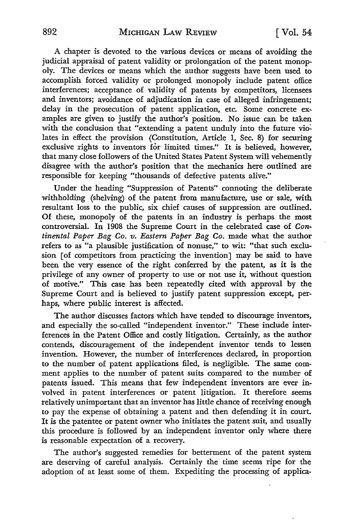A chapter is devoted to the various devices or means of avoiding the judicial appraisal of patent validity or prolongation of the patent monopoly. The devices or means which the author suggests have been used to accomplish forced validity or prolonged monopoly include patent office interferences; acceptance of validity of patents by competitors, licensees and inventors; avoidance of adjudication in case of alleged infringement; delay in the prosecution of patent application, etc. Some concrete examples are given to justify the author's position. No issue can be taken with the conclusion that "extending a patent unduly into the future violates in effect the provision (Constitution, Article 1, Sec. 8) for securing exclusive rights to inventors for limited times." It is believed, however, that many close followers of the United States Patent System will vehemently disagree with the author's position that the mechanics here outlined are responsible for keeping "thousands of defective patents alive."

Under the heading "Suppression of Patents" connoting the deliberate withholding (shelving) of the patent from manufacture, use or sale, with resultant loss to the public, six chief causes of suppression are outlined. Of these, monopoly of the patents in an industry is perhaps the most controversial. In 1908 the Supreme Court in the celebrated case of *Continental Paper Bag Co. v. Eastern Paper Bag Co.* made what the author refers to as "a plausible justification of nonuse," to wit: "that such exclusion [of competitors from practicing the invention] may be said to have been the very essence of the right conferred by the patent, as it is the privilege of any owner of property to use or not use it, without question of motive." This case has been repeatedly cited with approval by the Supreme Court and is believed to justify patent suppression except, perhaps, where public interest is affected.

The author discusses factors which have tended to discourage inventors, and especially the so-called "independent inventor." These include interferences in the Patent Office and costly litigation. Certainly, as the author contends, discouragement of the independent inventor tends to lessen invention. However, the number of interferences declared, in proportion to the number of patent applications filed, is negligible. The same comment applies to the number of patent suits compared to the number of patents issued. This means that few independent inventors are ever involved in patent interferences or patent litigation. It therefore seems relatively unimportant that an inventor has little chance of receiving enough to pay the expense of obtaining a patent and then defending it in court. It is the patentee or patent owner who initiates the patent suit, and usually this procedure is followed by an independent inventor only where there is reasonable expectation of a recovery.

The author's suggested remedies for betterment of the patent system are deserving of careful analysis. Certainly the time seems ripe for the adoption of at least some of them. Expediting the processing of applica